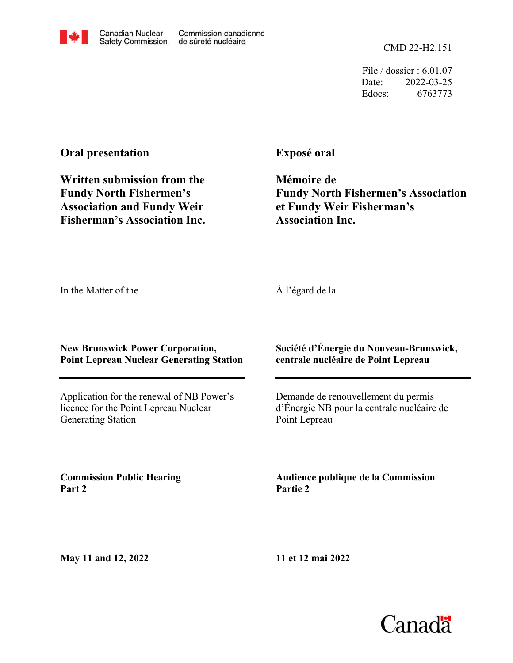File / dossier : 6.01.07 Date: 2022-03-25 Edocs: 6763773

## **Oral presentation**

**Written submission from the Fundy North Fishermen's Association and Fundy Weir Fisherman's Association Inc.**

## **Exposé oral**

**Mémoire de Fundy North Fishermen's Association et Fundy Weir Fisherman's Association Inc.**

In the Matter of the

À l'égard de la

## **New Brunswick Power Corporation, Point Lepreau Nuclear Generating Station**

Application for the renewal of NB Power's licence for the Point Lepreau Nuclear Generating Station

**Commission Public Hearing Part 2**

**Société d'Énergie du Nouveau-Brunswick, centrale nucléaire de Point Lepreau**

Demande de renouvellement du permis d'Énergie NB pour la centrale nucléaire de Point Lepreau

**Audience publique de la Commission Partie 2**

**May 11 and 12, 2022**

**11 et 12 mai 2022**